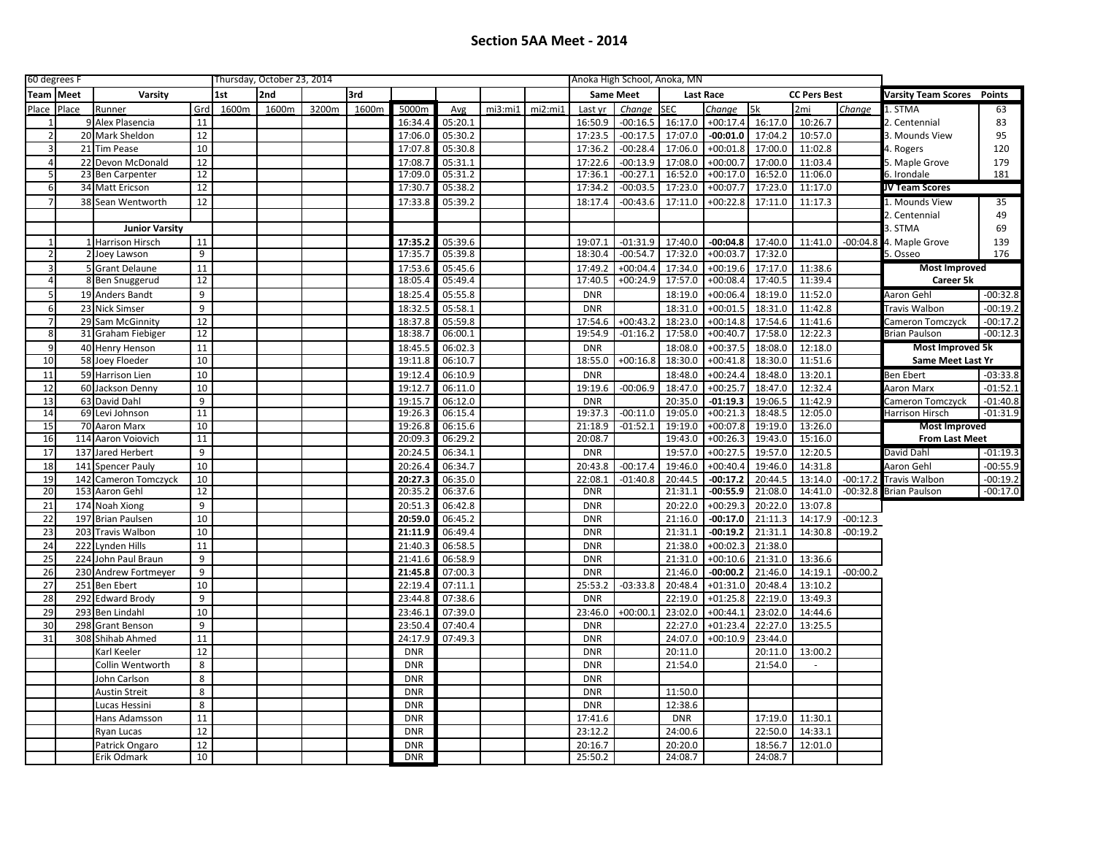| 60 degrees F   |           |                       |     | Thursday, October 23, 2014 |       |       |       |            |         |                  |         | Anoka High School, Anoka, MN |            |            |                     |         |                                   |            |                         |            |
|----------------|-----------|-----------------------|-----|----------------------------|-------|-------|-------|------------|---------|------------------|---------|------------------------------|------------|------------|---------------------|---------|-----------------------------------|------------|-------------------------|------------|
|                | Team Meet | Varsity               | 1st | 2nd                        |       | 3rd   |       |            |         | <b>Same Meet</b> |         | Last Race                    |            |            | <b>CC Pers Best</b> |         | <b>Varsity Team Scores</b> Points |            |                         |            |
| Place          | Place     | Runner                | Grd | 1600m                      | 1600m | 3200m | 1600m | 5000m      | Avg     | mi3:mi1          | mi2:mi1 | Last yr                      | Change     | <b>SEC</b> | Change              | 5k      | 2mi                               | Change     | 1. STMA                 | 63         |
|                |           | 9 Alex Plasencia      | 11  |                            |       |       |       | 16:34.4    | 05:20.1 |                  |         | 16:50.9                      | $-00:16.5$ | 16:17.0    | $+00:17.4$          | 16:17.0 | 10:26.7                           |            | 2. Centennial           | 83         |
| 2 <sup>1</sup> |           | 20 Mark Sheldon       | 12  |                            |       |       |       | 17:06.0    | 05:30.2 |                  |         | 17:23.5                      | $-00:17.5$ | 17:07.0    | $-00:01.0$          | 17:04.2 | 10:57.0                           |            | 3. Mounds View          | 95         |
| 3 <sup>1</sup> |           | 21 Tim Pease          | 10  |                            |       |       |       | 17:07.8    | 05:30.8 |                  |         | 17:36.2                      | $-00:28.4$ | 17:06.0    | $+00:01.8$          | 17:00.0 | 11:02.8                           |            | 4. Rogers               | 120        |
| $\overline{4}$ |           | 22 Devon McDonald     | 12  |                            |       |       |       | 17:08.7    | 05:31.1 |                  |         | 17:22.6                      | $-00:13.9$ | 17:08.0    | $+00:00.7$          | 17:00.0 | 11:03.4                           |            | 5. Maple Grove          | 179        |
| 5              |           | 23 Ben Carpenter      | 12  |                            |       |       |       | 17:09.0    | 05:31.2 |                  |         | 17:36.1                      | $-00:27.1$ | 16:52.0    | $+00:17.0$          | 16:52.0 | 11:06.0                           |            | 6. Irondale             | 181        |
| 6              |           | 34 Matt Ericson       | 12  |                            |       |       |       | 17:30.7    | 05:38.2 |                  |         | 17:34.2                      | $-00:03.5$ | 17:23.0    | $+00:07.7$          | 17:23.0 | 11:17.0                           |            | JV Team Scores          |            |
| 7 <sup>1</sup> |           | 38 Sean Wentworth     | 12  |                            |       |       |       | 17:33.8    | 05:39.2 |                  |         | 18:17.4                      | $-00:43.6$ | 17:11.0    | $+00:22.8$          | 17:11.0 | 11:17.3                           |            | 1. Mounds View          | 35         |
|                |           |                       |     |                            |       |       |       |            |         |                  |         |                              |            |            |                     |         |                                   |            | 2. Centennial           | 49         |
|                |           | <b>Junior Varsity</b> |     |                            |       |       |       |            |         |                  |         |                              |            |            |                     |         |                                   |            | 3. STMA                 | 69         |
| $1\vert$       |           | 1 Harrison Hirsch     | 11  |                            |       |       |       | 17:35.2    | 05:39.6 |                  |         | 19:07.1                      | $-01:31.9$ | 17:40.0    | $-00:04.8$          |         | 17:40.0 11:41.0                   | $-00:04.8$ | 4. Maple Grove          | 139        |
| $\mathcal{P}$  |           | 2 Joey Lawson         | 9   |                            |       |       |       | 17:35.7    | 05:39.8 |                  |         | 18:30.4                      | $-00:54.7$ | 17:32.0    | $+00:03.7$          | 17:32.0 |                                   |            | 5. Osseo                | 176        |
| 3              |           | 5 Grant Delaune       | 11  |                            |       |       |       | 17:53.6    | 05:45.6 |                  |         | 17:49.2                      | $+00:04.4$ | 17:34.0    | $+00:19.6$          | 17:17.0 | 11:38.6                           |            | <b>Most Improved</b>    |            |
| $\overline{4}$ |           | 8 Ben Snuggerud       | 12  |                            |       |       |       | 18:05.4    | 05:49.4 |                  |         | 17:40.5                      | $+00:24.9$ | 17:57.0    | $+00:08.4$          | 17:40.5 | 11:39.4                           |            | Career 5k               |            |
| 5 <sup>1</sup> |           | 19 Anders Bandt       | 9   |                            |       |       |       | 18:25.4    | 05:55.8 |                  |         | <b>DNR</b>                   |            | 18:19.0    | $+00:06.4$          | 18:19.0 | 11:52.0                           |            | Aaron Gehl              | $-00:32.8$ |
| $6 \mid$       |           | 23 Nick Simser        | 9   |                            |       |       |       | 18:32.5    | 05:58.1 |                  |         | <b>DNR</b>                   |            | 18:31.0    | $+00:01.5$          | 18:31.0 | 11:42.8                           |            | Travis Walbon           | $-00:19.2$ |
| 7 <sup>1</sup> |           | 29 Sam McGinnity      | 12  |                            |       |       |       | 18:37.8    | 05:59.8 |                  |         | 17:54.6                      | $+00:43.2$ | 18:23.0    | $+00:14.8$          | 17:54.6 | 11:41.6                           |            | Cameron Tomczyck        | $-00:17.2$ |
| 8 <sup>1</sup> |           | 31 Graham Fiebiger    | 12  |                            |       |       |       | 18:38.7    | 06:00.1 |                  |         | 19:54.9                      | $-01:16.2$ | 17:58.0    | $+00:40.7$          | 17:58.0 | 12:22.3                           |            | Brian Paulson           | $-00:12.3$ |
| 9              |           | 40 Henry Henson       | 11  |                            |       |       |       | 18:45.5    | 06:02.3 |                  |         | <b>DNR</b>                   |            | 18:08.0    | $+00:37.5$          | 18:08.0 | 12:18.0                           |            | <b>Most Improved 5k</b> |            |
| 10             |           | 58 Joey Floeder       | 10  |                            |       |       |       | 19:11.8    | 06:10.7 |                  |         | 18:55.0                      | $+00:16.8$ | 18:30.0    | $+00:41.8$          | 18:30.0 | 11:51.6                           |            | Same Meet Last Yr       |            |
| 11             |           | 59 Harrison Lien      | 10  |                            |       |       |       | 19:12.4    | 06:10.9 |                  |         | <b>DNR</b>                   |            | 18:48.0    | $+00:24.4$          | 18:48.0 | 13:20.1                           |            | <b>Ben Ebert</b>        | $-03:33.8$ |
| 12             |           | 60 Jackson Denny      | 10  |                            |       |       |       | 19:12.7    | 06:11.0 |                  |         | 19:19.6                      | $-00:06.9$ | 18:47.0    | $+00:25.7$          | 18:47.0 | 12:32.4                           |            | Aaron Marx              | $-01:52.1$ |
| 13             |           | 63 David Dahl         | 9   |                            |       |       |       | 19:15.7    | 06:12.0 |                  |         | <b>DNR</b>                   |            | 20:35.0    | $-01:19.3$          | 19:06.5 | 11:42.9                           |            | Cameron Tomczyck        | $-01:40.8$ |
| 14             |           | 69 Levi Johnson       | 11  |                            |       |       |       | 19:26.3    | 06:15.4 |                  |         | 19:37.3                      | $-00:11.0$ | 19:05.0    | $+00:21.3$          | 18:48.5 | 12:05.0                           |            | Harrison Hirsch         | $-01:31.9$ |
| 15             |           | 70 Aaron Marx         | 10  |                            |       |       |       | 19:26.8    | 06:15.6 |                  |         | 21:18.9                      | $-01:52.1$ | 19:19.0    | $+00:07.8$          | 19:19.0 | 13:26.0                           |            | Most Improved           |            |
| 16             |           | 114 Aaron Voiovich    | 11  |                            |       |       |       | 20:09.3    | 06:29.2 |                  |         | 20:08.7                      |            | 19:43.0    | $+00:26.3$          | 19:43.0 | 15:16.0                           |            | <b>From Last Meet</b>   |            |
| 17             |           | 137 Jared Herbert     | 9   |                            |       |       |       | 20:24.5    | 06:34.1 |                  |         | <b>DNR</b>                   |            | 19:57.0    | $+00:27.5$          | 19:57.0 | 12:20.5                           |            | David Dahl              | $-01:19.3$ |
| 18             | 141       | <b>Spencer Pauly</b>  | 10  |                            |       |       |       | 20:26.4    | 06:34.7 |                  |         | 20:43.8                      | $-00:17.4$ | 19:46.0    | $+00:40.4$          | 19:46.0 | 14:31.8                           |            | Aaron Gehl              | $-00:55.9$ |
| 19             |           | 142 Cameron Tomczyck  | 10  |                            |       |       |       | 20:27.3    | 06:35.0 |                  |         | 22:08.1                      | $-01:40.8$ | 20:44.5    | $-00:17.2$          | 20:44.5 | 13:14.0                           | $-00:17.2$ | <b>Travis Walbon</b>    | $-00:19.2$ |
| 20             |           | 153 Aaron Gehl        | 12  |                            |       |       |       | 20:35.2    | 06:37.6 |                  |         | <b>DNR</b>                   |            | 21:31.1    | $-00:55.9$          | 21:08.0 | 14:41.0                           | $-00:32.8$ | <b>Brian Paulson</b>    | $-00:17.0$ |
| 21             |           | 174 Noah Xiong        | 9   |                            |       |       |       | 20:51.3    | 06:42.8 |                  |         | <b>DNR</b>                   |            | 20:22.0    | $+00:29.3$          | 20:22.0 | 13:07.8                           |            |                         |            |
| 22             |           | 197 Brian Paulsen     | 10  |                            |       |       |       | 20:59.0    | 06:45.2 |                  |         | <b>DNR</b>                   |            | 21:16.0    | -00:17.0            | 21:11.3 | 14:17.9                           | $-00:12.3$ |                         |            |
| 23             |           | 203 Travis Walbon     | 10  |                            |       |       |       | 21:11.9    | 06:49.4 |                  |         | <b>DNR</b>                   |            | 21:31.1    | $-00:19.2$          | 21:31.1 | 14:30.8                           | $-00:19.2$ |                         |            |
| 24             |           | 222 Lynden Hills      | 11  |                            |       |       |       | 21:40.3    | 06:58.5 |                  |         | <b>DNR</b>                   |            | 21:38.0    | $+00:02.3$          | 21:38.0 |                                   |            |                         |            |
| 25             |           | 224 John Paul Braun   | 9   |                            |       |       |       | 21:41.6    | 06:58.9 |                  |         | <b>DNR</b>                   |            | 21:31.0    | $+00:10.6$          | 21:31.0 | 13:36.6                           |            |                         |            |
| 26             |           | 230 Andrew Fortmeyer  | 9   |                            |       |       |       | 21:45.8    | 07:00.3 |                  |         | <b>DNR</b>                   |            | 21:46.0    | $-00:00.2$          | 21:46.0 | 14:19.1                           | $-00:00.2$ |                         |            |
| 27             |           | 251 Ben Ebert         | 10  |                            |       |       |       | 22:19.4    | 07:11.1 |                  |         | 25:53.2                      | $-03:33.8$ | 20:48.4    | $+01:31.0$          | 20:48.4 | 13:10.2                           |            |                         |            |
| 28             |           | 292 Edward Brody      | 9   |                            |       |       |       | 23:44.8    | 07:38.6 |                  |         | <b>DNR</b>                   |            | 22:19.0    | $+01:25.8$          | 22:19.0 | 13:49.3                           |            |                         |            |
| 29             |           | 293 Ben Lindahl       | 10  |                            |       |       |       | 23:46.1    | 07:39.0 |                  |         | 23:46.0                      | $+00:00.1$ | 23:02.0    | $+00:44.1$          | 23:02.0 | 14:44.6                           |            |                         |            |
| 30             |           | 298 Grant Benson      | 9   |                            |       |       |       | 23:50.4    | 07:40.4 |                  |         | <b>DNR</b>                   |            | 22:27.0    | $+01:23.4$          | 22:27.0 | 13:25.5                           |            |                         |            |
| 31             |           | 308 Shihab Ahmed      | 11  |                            |       |       |       | 24:17.9    | 07:49.3 |                  |         | <b>DNR</b>                   |            | 24:07.0    | $+00:10.9$          | 23:44.0 |                                   |            |                         |            |
|                |           | Karl Keeler           | 12  |                            |       |       |       | <b>DNR</b> |         |                  |         | <b>DNR</b>                   |            | 20:11.0    |                     | 20:11.0 | 13:00.2                           |            |                         |            |
|                |           | Collin Wentworth      | 8   |                            |       |       |       | <b>DNR</b> |         |                  |         | <b>DNR</b>                   |            | 21:54.0    |                     | 21:54.0 |                                   |            |                         |            |
|                |           | John Carlson          | 8   |                            |       |       |       | <b>DNR</b> |         |                  |         | <b>DNR</b>                   |            |            |                     |         |                                   |            |                         |            |
|                |           | <b>Austin Streit</b>  | 8   |                            |       |       |       | <b>DNR</b> |         |                  |         | <b>DNR</b>                   |            | 11:50.0    |                     |         |                                   |            |                         |            |
|                |           | Lucas Hessini         | 8   |                            |       |       |       | <b>DNR</b> |         |                  |         | <b>DNR</b>                   |            | 12:38.6    |                     |         |                                   |            |                         |            |
|                |           | Hans Adamsson         | 11  |                            |       |       |       | <b>DNR</b> |         |                  |         | 17:41.6                      |            | <b>DNR</b> |                     | 17:19.0 | 11:30.1                           |            |                         |            |
|                |           | Ryan Lucas            | 12  |                            |       |       |       | <b>DNR</b> |         |                  |         | 23:12.2                      |            | 24:00.6    |                     | 22:50.0 | 14:33.1                           |            |                         |            |
|                |           | Patrick Ongaro        | 12  |                            |       |       |       | <b>DNR</b> |         |                  |         | 20:16.7                      |            | 20:20.0    |                     | 18:56.7 | 12:01.0                           |            |                         |            |
|                |           | Erik Odmark           | 10  |                            |       |       |       | <b>DNR</b> |         |                  |         | 25:50.2                      |            | 24:08.7    |                     | 24:08.7 |                                   |            |                         |            |